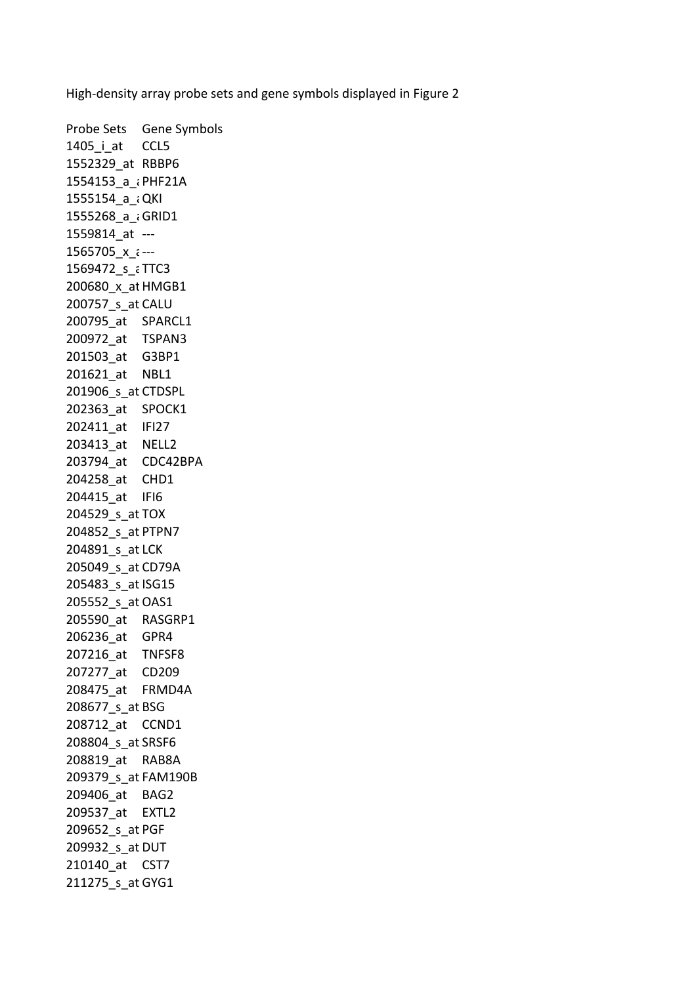High-density array probe sets and gene symbols displayed in Figure 2

Probe Sets Gene Symbols 1405 i at CCL5 1552329\_at RBBP6 1554153 a ¿PHF21A 1555154 a ¿QKI 1555268 a ¿GRID1 1559814 at ---1565705 $x \in -1$ 1569472 s aTTC3 200680\_x\_atHMGB1 200757\_s\_at CALU 200795\_at SPARCL1 200972\_at TSPAN3 201503\_at G3BP1 201621\_at NBL1 201906 s at CTDSPL 202363\_at SPOCK1 202411\_at IFI27 203413\_at NELL2 203794\_at CDC42BPA 204258\_at CHD1 204415\_at IFI6 204529\_s\_at TOX 204852\_s\_at PTPN7 204891\_s\_at LCK 205049\_s\_at CD79A 205483 s at ISG15 205552\_s\_at OAS1 205590\_at RASGRP1 206236\_at GPR4 207216\_at TNFSF8 207277\_at CD209 208475\_at FRMD4A 208677\_s\_at BSG 208712\_at CCND1 208804 s at SRSF6 208819\_at RAB8A 209379\_s\_at FAM190B 209406\_at BAG2 209537\_at EXTL2 209652\_s\_at PGF 209932\_s\_at DUT 210140\_at CST7 211275 s at GYG1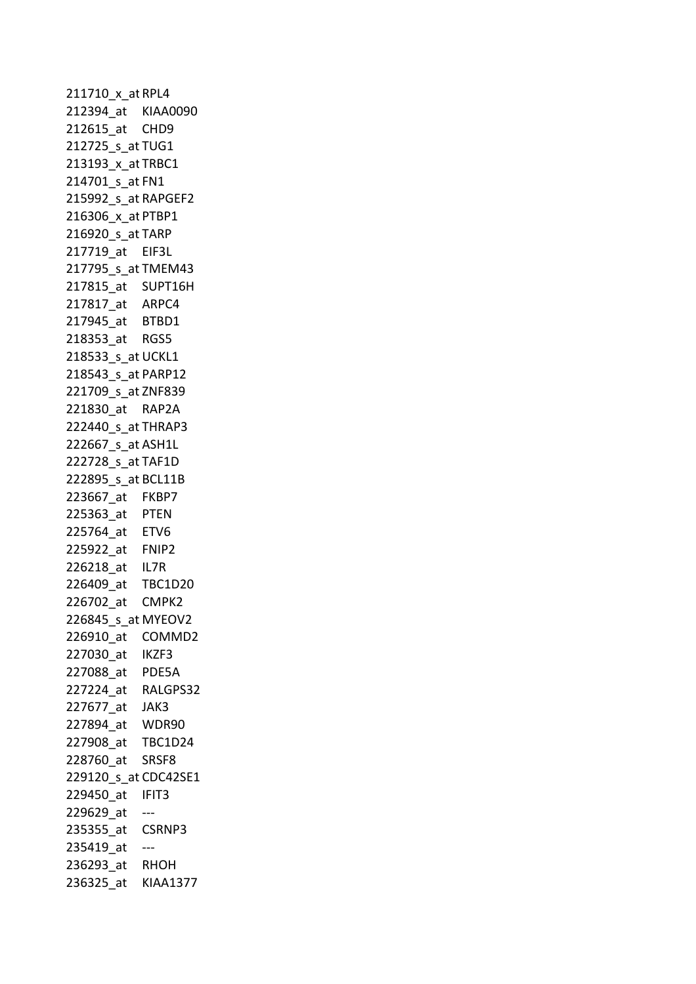211710\_x\_atRPL4 212394\_at KIAA0090 212615\_at CHD9 212725 s at TUG1 213193 x at TRBC1 214701\_s\_at FN1 215992 s at RAPGEF2 216306 x at PTBP1 216920\_s\_at TARP 217719\_at EIF3L 217795\_s\_at TMEM43 217815\_at SUPT16H 217817\_at ARPC4 217945\_at BTBD1 218353\_at RGS5 218533 s at UCKL1 218543\_s\_at PARP12 221709\_s\_at ZNF839 221830\_at RAP2A 222440\_s\_at THRAP3 222667 s at ASH1L 222728\_s\_at TAF1D 222895\_s\_at BCL11B 223667\_at FKBP7 225363\_at PTEN 225764\_at ETV6 225922\_at FNIP2 226218\_at IL7R 226409\_at TBC1D20 226702\_at CMPK2 226845\_s\_at MYEOV2 226910\_at COMMD2 227030\_at IKZF3 227088\_at PDE5A 227224\_at RALGPS32 227677\_at JAK3 227894\_at WDR90 227908\_at TBC1D24 228760\_at SRSF8 229120\_s\_at CDC42SE1 229450\_at IFIT3 229629 at  $--$ 235355\_at CSRNP3 235419 at ---236293\_at RHOH 236325\_at KIAA1377